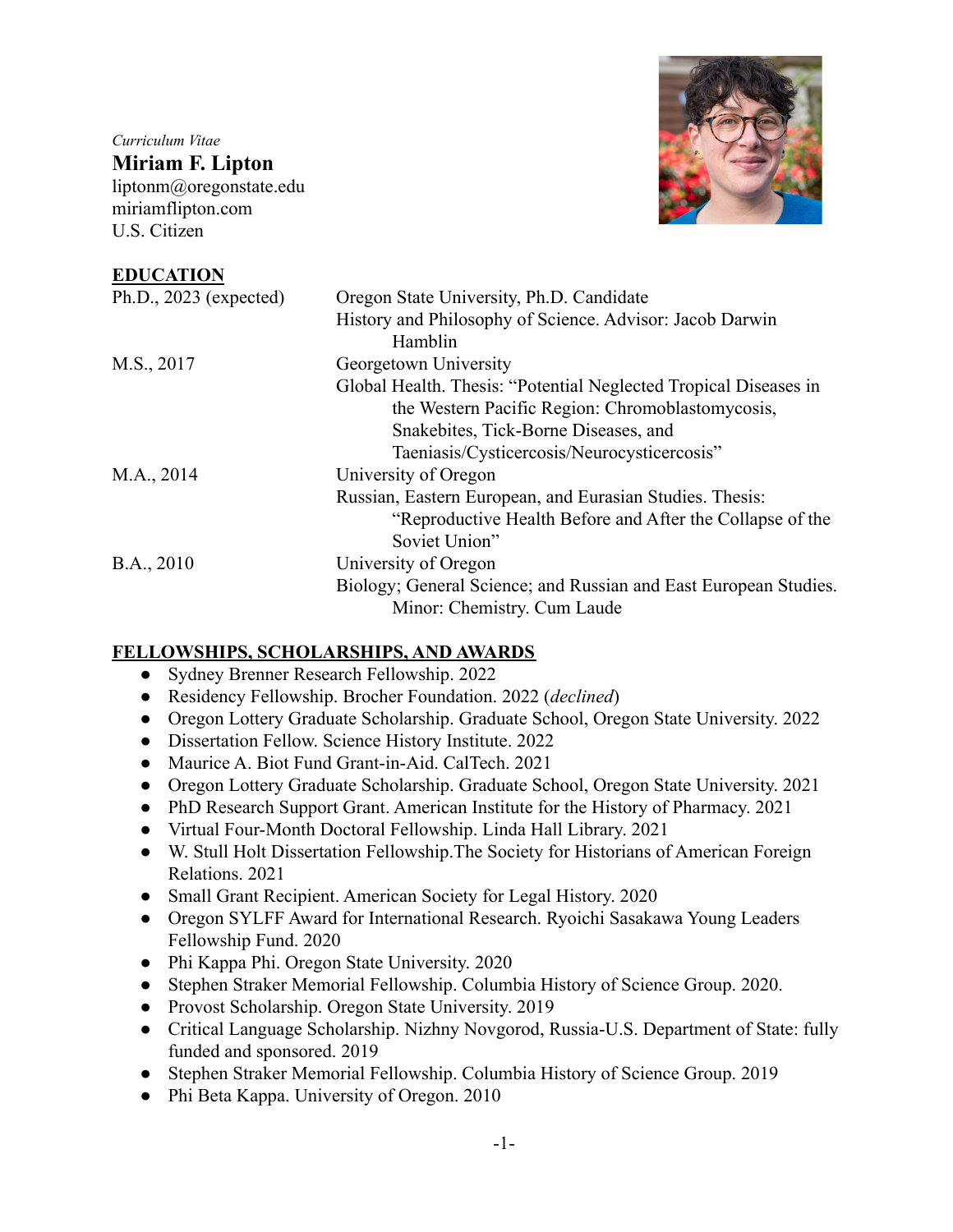*Curriculum Vitae* **Miriam F. Lipton** liptonm@oregonstate.edu miriamflipton.com U.S. Citizen



#### **EDUCATION**

| Ph.D., $2023$ (expected) | Oregon State University, Ph.D. Candidate                         |
|--------------------------|------------------------------------------------------------------|
|                          | History and Philosophy of Science. Advisor: Jacob Darwin         |
|                          | Hamblin                                                          |
| M.S., 2017               | Georgetown University                                            |
|                          | Global Health. Thesis: "Potential Neglected Tropical Diseases in |
|                          | the Western Pacific Region: Chromoblastomycosis,                 |
|                          | Snakebites, Tick-Borne Diseases, and                             |
|                          | Taeniasis/Cysticercosis/Neurocysticercosis"                      |
| M.A., 2014               | University of Oregon                                             |
|                          | Russian, Eastern European, and Eurasian Studies. Thesis:         |
|                          | "Reproductive Health Before and After the Collapse of the        |
|                          | Soviet Union"                                                    |
| B.A., 2010               | University of Oregon                                             |
|                          | Biology; General Science; and Russian and East European Studies. |
|                          | Minor: Chemistry. Cum Laude                                      |

## **FELLOWSHIPS, SCHOLARSHIPS, AND AWARDS**

- Sydney Brenner Research Fellowship. 2022
- Residency Fellowship. Brocher Foundation. 2022 (*declined*)
- Oregon Lottery Graduate Scholarship. Graduate School, Oregon State University. 2022
- Dissertation Fellow. Science History Institute. 2022
- Maurice A. Biot Fund Grant-in-Aid. CalTech. 2021
- Oregon Lottery Graduate Scholarship. Graduate School, Oregon State University. 2021
- PhD Research Support Grant. American Institute for the History of Pharmacy. 2021
- Virtual Four-Month Doctoral Fellowship. Linda Hall Library. 2021
- W. Stull Holt Dissertation Fellowship.The Society for Historians of American Foreign Relations. 2021
- Small Grant Recipient. American Society for Legal History. 2020
- Oregon SYLFF Award for International Research. Ryoichi Sasakawa Young Leaders Fellowship Fund. 2020
- Phi Kappa Phi. Oregon State University. 2020
- Stephen Straker Memorial Fellowship. Columbia History of Science Group. 2020.
- Provost Scholarship. Oregon State University. 2019
- Critical Language Scholarship. Nizhny Novgorod, Russia-U.S. Department of State: fully funded and sponsored. 2019
- Stephen Straker Memorial Fellowship. Columbia History of Science Group. 2019
- Phi Beta Kappa. University of Oregon. 2010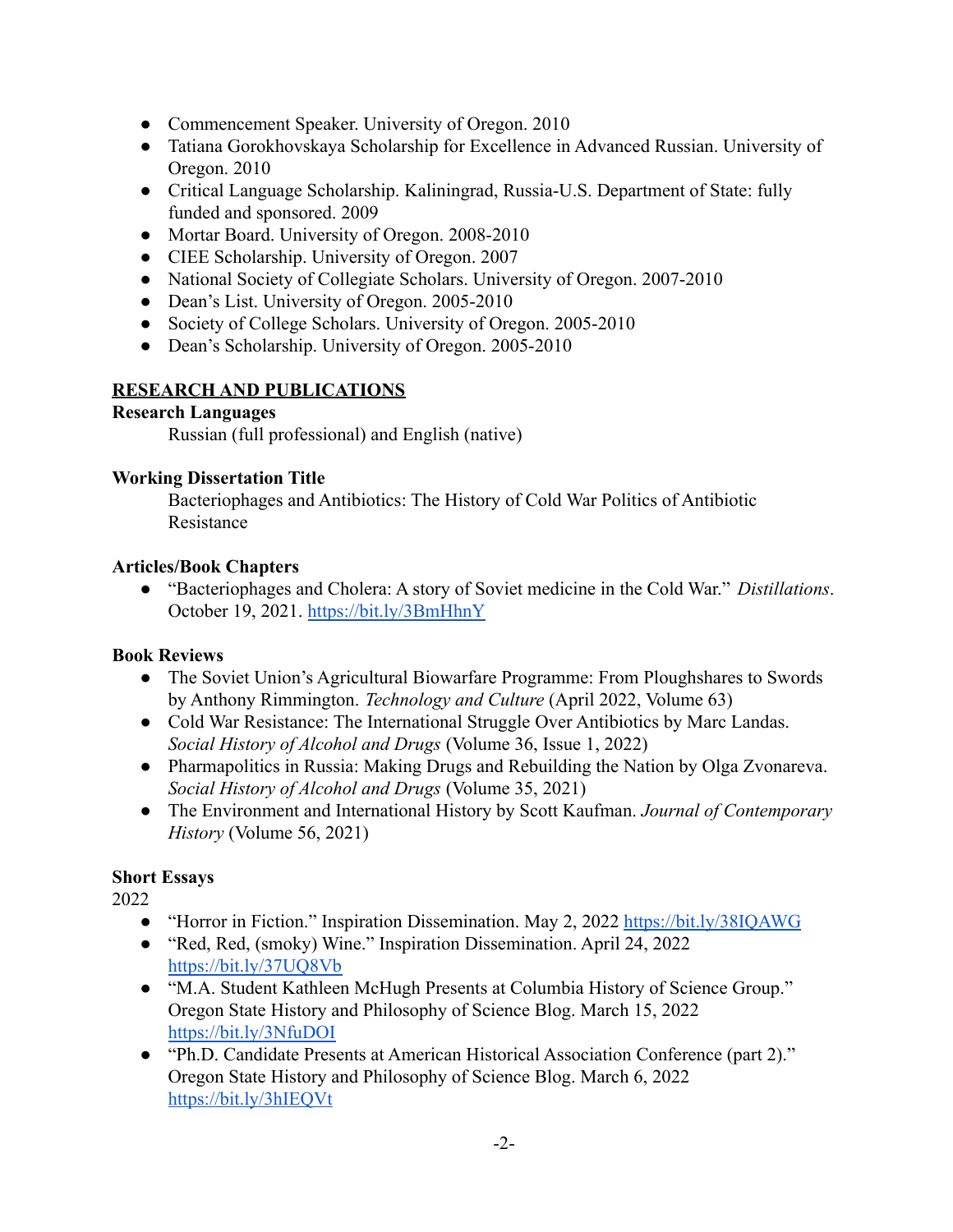- Commencement Speaker. University of Oregon. 2010
- Tatiana Gorokhovskaya Scholarship for Excellence in Advanced Russian. University of Oregon. 2010
- Critical Language Scholarship. Kaliningrad, Russia-U.S. Department of State: fully funded and sponsored. 2009
- Mortar Board. University of Oregon. 2008-2010
- CIEE Scholarship. University of Oregon. 2007
- National Society of Collegiate Scholars. University of Oregon. 2007-2010
- Dean's List. University of Oregon. 2005-2010
- Society of College Scholars. University of Oregon. 2005-2010
- Dean's Scholarship. University of Oregon. 2005-2010

## **RESEARCH AND PUBLICATIONS**

## **Research Languages**

Russian (full professional) and English (native)

## **Working Dissertation Title**

Bacteriophages and Antibiotics: The History of Cold War Politics of Antibiotic Resistance

#### **Articles/Book Chapters**

● "Bacteriophages and Cholera: A story of Soviet medicine in the Cold War." *Distillations*. October 19, 2021. <https://bit.ly/3BmHhnY>

## **Book Reviews**

- The Soviet Union's Agricultural Biowarfare Programme: From Ploughshares to Swords by Anthony Rimmington. *Technology and Culture* (April 2022, Volume 63)
- Cold War Resistance: The International Struggle Over Antibiotics by Marc Landas. *Social History of Alcohol and Drugs* (Volume 36, Issue 1, 2022)
- Pharmapolitics in Russia: Making Drugs and Rebuilding the Nation by Olga Zvonareva. *Social History of Alcohol and Drugs* (Volume 35, 2021)
- The Environment and International History by Scott Kaufman. *Journal of Contemporary History* (Volume 56, 2021)

## **Short Essays**

- "Horror in Fiction." Inspiration Dissemination. May 2, 2022 https://bit.ly/38IOAWG
- "Red, Red, (smoky) Wine." Inspiration Dissemination. April 24, 2022 <https://bit.ly/37UQ8Vb>
- "M.A. Student Kathleen McHugh Presents at Columbia History of Science Group." Oregon State History and Philosophy of Science Blog. March 15, 2022 <https://bit.ly/3NfuDOI>
- "Ph.D. Candidate Presents at American Historical Association Conference (part 2)." Oregon State History and Philosophy of Science Blog. March 6, 2022 <https://bit.ly/3hIEQVt>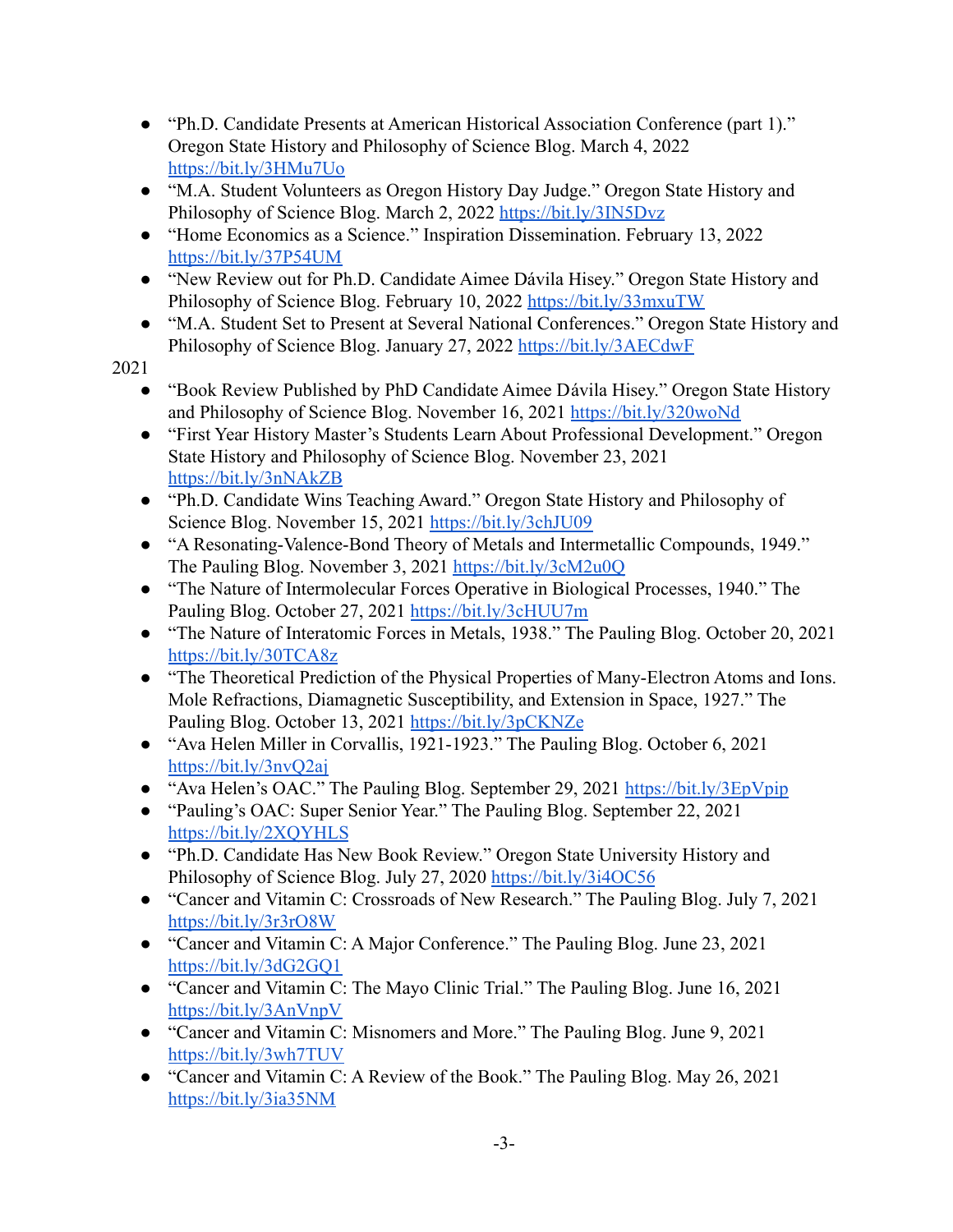- "Ph.D. Candidate Presents at American Historical Association Conference (part 1)." Oregon State History and Philosophy of Science Blog. March 4, 2022 <https://bit.ly/3HMu7Uo>
- "M.A. Student Volunteers as Oregon History Day Judge." Oregon State History and Philosophy of Science Blog. March 2, 2022 <https://bit.ly/3IN5Dvz>
- "Home Economics as a Science." Inspiration Dissemination. February 13, 2022 <https://bit.ly/37P54UM>
- "New Review out for Ph.D. Candidate Aimee Dávila Hisey." Oregon State History and Philosophy of Science Blog. February 10, 2022 <https://bit.ly/33mxuTW>
- "M.A. Student Set to Present at Several National Conferences." Oregon State History and Philosophy of Science Blog. January 27, 2022 <https://bit.ly/3AECdwF>

- "Book Review Published by PhD Candidate Aimee Dávila Hisey." Oregon State History and Philosophy of Science Blog. November 16, 2021 <https://bit.ly/320woNd>
- "First Year History Master's Students Learn About Professional Development." Oregon State History and Philosophy of Science Blog. November 23, 2021 <https://bit.ly/3nNAkZB>
- "Ph.D. Candidate Wins Teaching Award." Oregon State History and Philosophy of Science Blog. November 15, 2021 <https://bit.ly/3chJU09>
- "A Resonating-Valence-Bond Theory of Metals and Intermetallic Compounds, 1949." The Pauling Blog. November 3, 2021 <https://bit.ly/3cM2u0Q>
- "The Nature of Intermolecular Forces Operative in Biological Processes, 1940." The Pauling Blog. October 27, 2021 <https://bit.ly/3cHUU7m>
- "The Nature of Interatomic Forces in Metals, 1938." The Pauling Blog. October 20, 2021 <https://bit.ly/30TCA8z>
- "The Theoretical Prediction of the Physical Properties of Many-Electron Atoms and Ions. Mole Refractions, Diamagnetic Susceptibility, and Extension in Space, 1927." The Pauling Blog. October 13, 2021 <https://bit.ly/3pCKNZe>
- "Ava Helen Miller in Corvallis, 1921-1923." The Pauling Blog. October 6, 2021 <https://bit.ly/3nvQ2aj>
- "Ava Helen's OAC." The Pauling Blog. September 29, 2021 <https://bit.ly/3EpVpip>
- "Pauling's OAC: Super Senior Year." The Pauling Blog. September 22, 2021 <https://bit.ly/2XQYHLS>
- "Ph.D. Candidate Has New Book Review." Oregon State University History and Philosophy of Science Blog. July 27, 2020 <https://bit.ly/3i4OC56>
- "Cancer and Vitamin C: Crossroads of New Research." The Pauling Blog. July 7, 2021 <https://bit.ly/3r3rO8W>
- "Cancer and Vitamin C: A Major Conference." The Pauling Blog. June 23, 2021 <https://bit.ly/3dG2GQ1>
- "Cancer and Vitamin C: The Mayo Clinic Trial." The Pauling Blog. June 16, 2021 <https://bit.ly/3AnVnpV>
- "Cancer and Vitamin C: Misnomers and More." The Pauling Blog. June 9, 2021 <https://bit.ly/3wh7TUV>
- "Cancer and Vitamin C: A Review of the Book." The Pauling Blog. May 26, 2021 <https://bit.ly/3ia35NM>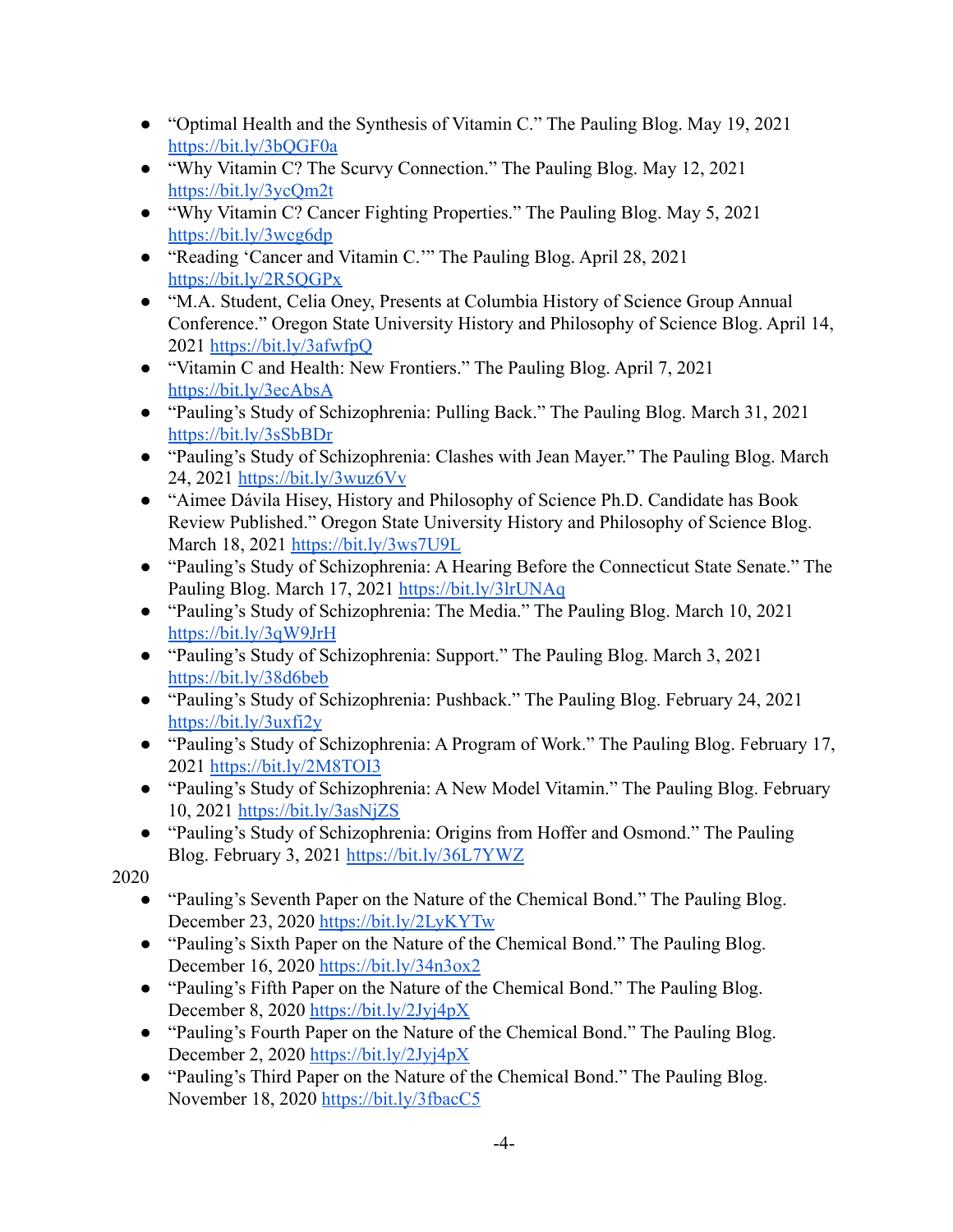- "Optimal Health and the Synthesis of Vitamin C." The Pauling Blog. May 19, 2021 <https://bit.ly/3bQGF0a>
- "Why Vitamin C? The Scurvy Connection." The Pauling Blog. May 12, 2021 <https://bit.ly/3ycQm2t>
- "Why Vitamin C? Cancer Fighting Properties." The Pauling Blog. May 5, 2021 <https://bit.ly/3wcg6dp>
- "Reading 'Cancer and Vitamin C.'" The Pauling Blog. April 28, 2021 <https://bit.ly/2R5QGPx>
- "M.A. Student, Celia Oney, Presents at Columbia History of Science Group Annual Conference." Oregon State University History and Philosophy of Science Blog. April 14, 2021 <https://bit.ly/3afwfpQ>
- "Vitamin C and Health: New Frontiers." The Pauling Blog. April 7, 2021 <https://bit.ly/3ecAbsA>
- "Pauling's Study of Schizophrenia: Pulling Back." The Pauling Blog. March 31, 2021 <https://bit.ly/3sSbBDr>
- "Pauling's Study of Schizophrenia: Clashes with Jean Mayer." The Pauling Blog. March 24, 2021 <https://bit.ly/3wuz6Vv>
- "Aimee Dávila Hisey, History and Philosophy of Science Ph.D. Candidate has Book Review Published." Oregon State University History and Philosophy of Science Blog. March 18, 2021 <https://bit.ly/3ws7U9L>
- "Pauling's Study of Schizophrenia: A Hearing Before the Connecticut State Senate." The Pauling Blog. March 17, 2021 <https://bit.ly/3lrUNAq>
- "Pauling's Study of Schizophrenia: The Media." The Pauling Blog. March 10, 2021 <https://bit.ly/3qW9JrH>
- "Pauling's Study of Schizophrenia: Support." The Pauling Blog. March 3, 2021 <https://bit.ly/38d6beb>
- "Pauling's Study of Schizophrenia: Pushback." The Pauling Blog. February 24, 2021 <https://bit.ly/3uxfi2y>
- "Pauling's Study of Schizophrenia: A Program of Work." The Pauling Blog. February 17, 2021 <https://bit.ly/2M8TOI3>
- "Pauling's Study of Schizophrenia: A New Model Vitamin." The Pauling Blog. February 10, 2021 <https://bit.ly/3asNjZS>
- "Pauling's Study of Schizophrenia: Origins from Hoffer and Osmond." The Pauling Blog. February 3, 2021 <https://bit.ly/36L7YWZ>

- "Pauling's Seventh Paper on the Nature of the Chemical Bond." The Pauling Blog. December 23, 2020 <https://bit.ly/2LyKYTw>
- "Pauling's Sixth Paper on the Nature of the Chemical Bond." The Pauling Blog. December 16, 2020 <https://bit.ly/34n3ox2>
- "Pauling's Fifth Paper on the Nature of the Chemical Bond." The Pauling Blog. December 8, 2020 <https://bit.ly/2Jyj4pX>
- "Pauling's Fourth Paper on the Nature of the Chemical Bond." The Pauling Blog. December 2, 2020 <https://bit.ly/2Jyj4pX>
- "Pauling's Third Paper on the Nature of the Chemical Bond." The Pauling Blog. November 18, 2020 <https://bit.ly/3fbacC5>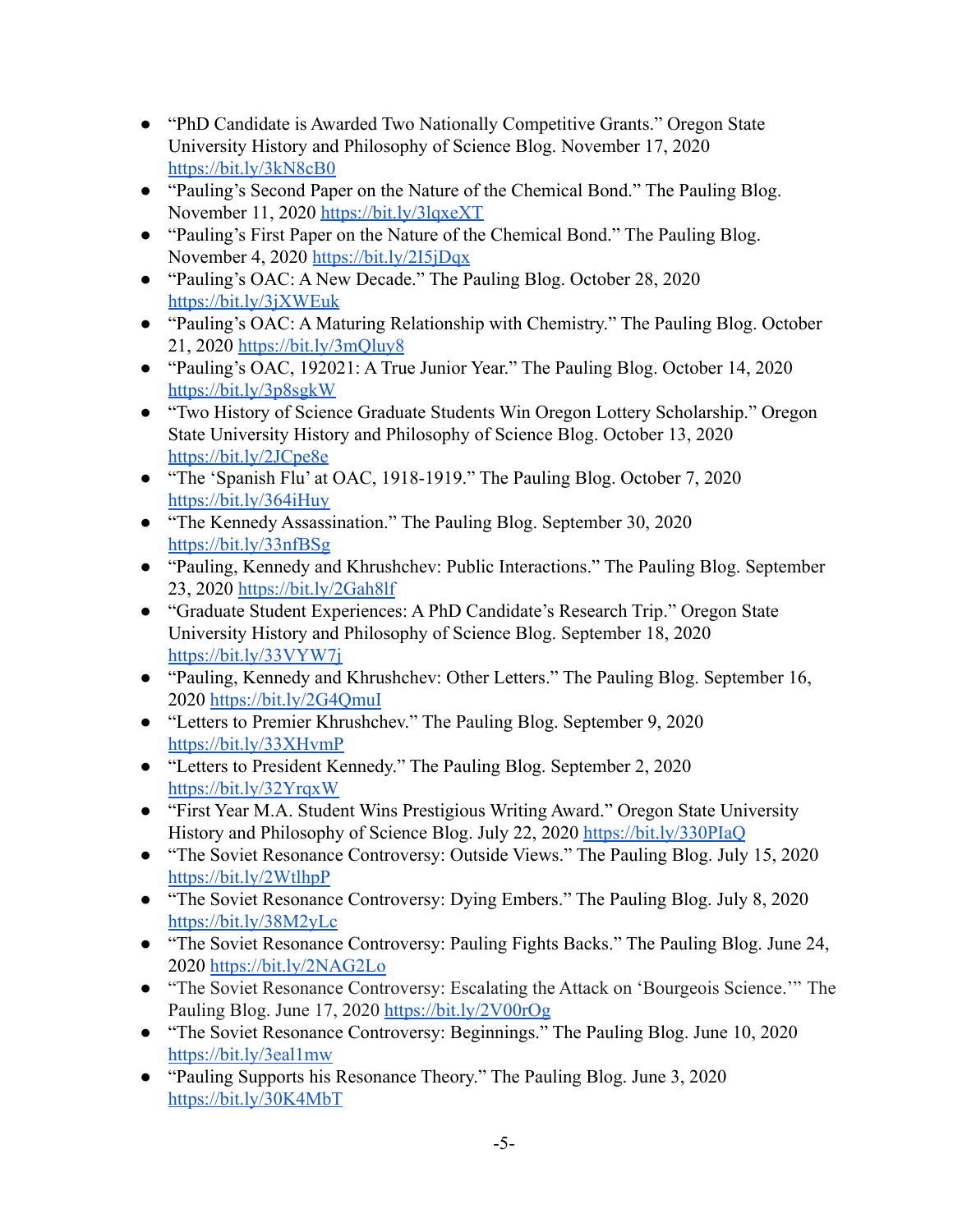- "PhD Candidate is Awarded Two Nationally Competitive Grants." Oregon State University History and Philosophy of Science Blog. November 17, 2020 <https://bit.ly/3kN8cB0>
- "Pauling's Second Paper on the Nature of the Chemical Bond." The Pauling Blog. November 11, 2020 <https://bit.ly/3lqxeXT>
- "Pauling's First Paper on the Nature of the Chemical Bond." The Pauling Blog. November 4, 2020 <https://bit.ly/2I5jDqx>
- "Pauling's OAC: A New Decade." The Pauling Blog. October 28, 2020 <https://bit.ly/3jXWEuk>
- "Pauling's OAC: A Maturing Relationship with Chemistry." The Pauling Blog. October 21, 2020 <https://bit.ly/3mQluy8>
- "Pauling's OAC, 192021: A True Junior Year." The Pauling Blog. October 14, 2020 <https://bit.ly/3p8sgkW>
- "Two History of Science Graduate Students Win Oregon Lottery Scholarship." Oregon State University History and Philosophy of Science Blog. October 13, 2020 <https://bit.ly/2JCpe8e>
- "The 'Spanish Flu' at OAC, 1918-1919." The Pauling Blog. October 7, 2020 <https://bit.ly/364iHuy>
- "The Kennedy Assassination." The Pauling Blog. September 30, 2020 <https://bit.ly/33nfBSg>
- "Pauling, Kennedy and Khrushchev: Public Interactions." The Pauling Blog. September 23, 2020 <https://bit.ly/2Gah8lf>
- "Graduate Student Experiences: A PhD Candidate's Research Trip." Oregon State University History and Philosophy of Science Blog. September 18, 2020 <https://bit.ly/33VYW7j>
- "Pauling, Kennedy and Khrushchev: Other Letters." The Pauling Blog. September 16, 2020 <https://bit.ly/2G4QmuI>
- "Letters to Premier Khrushchev." The Pauling Blog. September 9, 2020 <https://bit.ly/33XHvmP>
- "Letters to President Kennedy." The Pauling Blog. September 2, 2020 <https://bit.ly/32YrqxW>
- "First Year M.A. Student Wins Prestigious Writing Award." Oregon State University History and Philosophy of Science Blog. July 22, 2020 <https://bit.ly/330PIaQ>
- "The Soviet Resonance Controversy: Outside Views." The Pauling Blog. July 15, 2020 <https://bit.ly/2WtlhpP>
- "The Soviet Resonance Controversy: Dying Embers." The Pauling Blog. July 8, 2020 <https://bit.ly/38M2yLc>
- "The Soviet Resonance Controversy: Pauling Fights Backs." The Pauling Blog. June 24, 2020 <https://bit.ly/2NAG2Lo>
- "The Soviet Resonance Controversy: Escalating the Attack on 'Bourgeois Science.'" [The](https://bit.ly/2V00rOg) [Pauling Blog.](https://bit.ly/2V00rOg) June 17, 2020 <https://bit.ly/2V00rOg>
- "The Soviet Resonance Controversy: Beginnings." The Pauling Blog. June 10, 2020 <https://bit.ly/3eal1mw>
- "Pauling Supports his Resonance Theory." The Pauling Blog. June 3, 2020 <https://bit.ly/30K4MbT>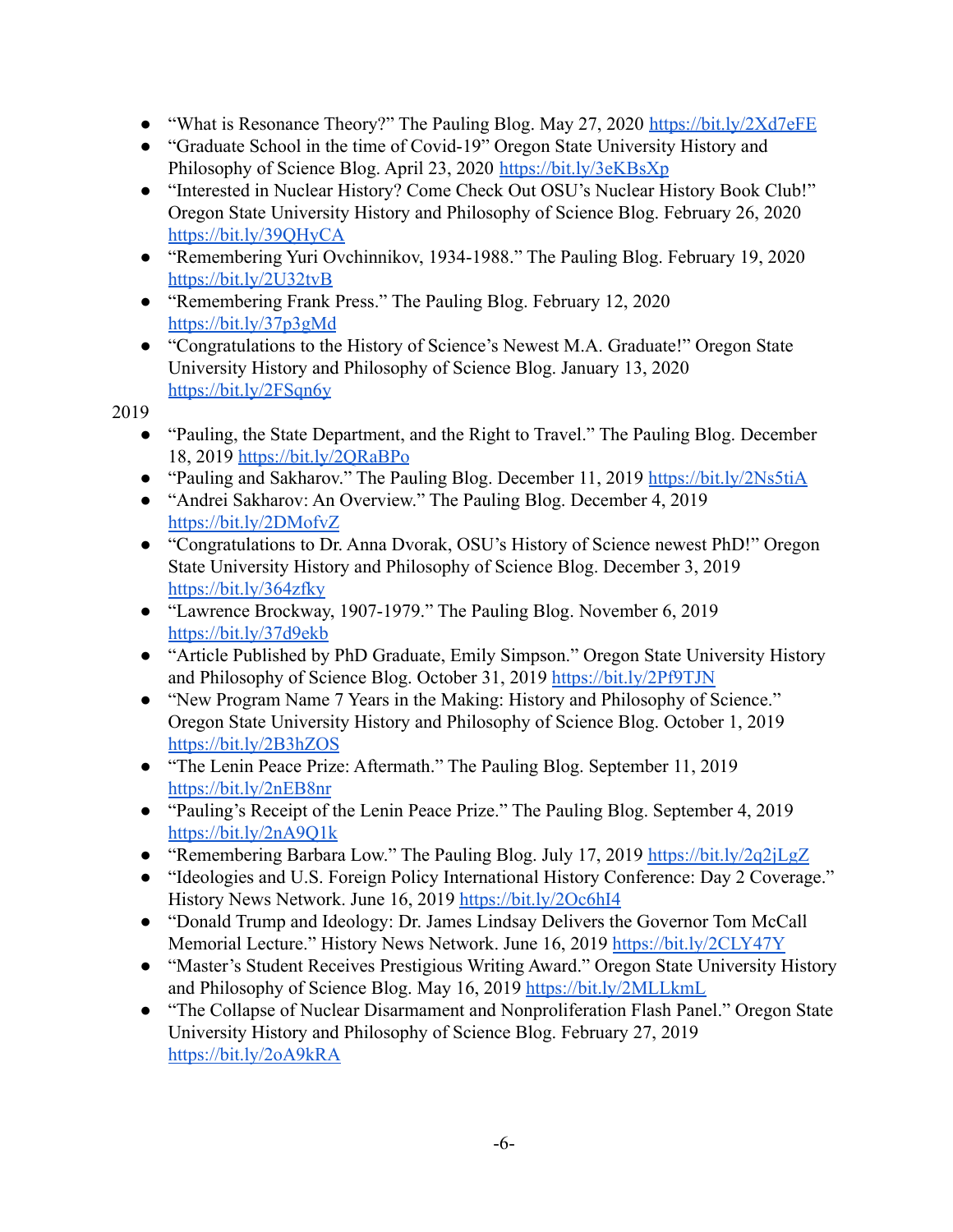- **●** "What is Resonance Theory?" The Pauling Blog. May 27, 2020 <https://bit.ly/2Xd7eFE>
- **●** "Graduate School in the time of Covid-19" Oregon State University History and Philosophy of Science Blog. April 23, 2020 <https://bit.ly/3eKBsXp>
- "Interested in Nuclear History? Come Check Out OSU's Nuclear History Book Club!" Oregon State University History and Philosophy of Science Blog. February 26, 2020 <https://bit.ly/39QHyCA>
- **●** "Remembering Yuri Ovchinnikov, 1934-1988." The Pauling Blog. February 19, 2020 <https://bit.ly/2U32tvB>
- **●** "Remembering Frank Press." The Pauling Blog. February 12, 2020 <https://bit.ly/37p3gMd>
- **●** "Congratulations to the History of Science's Newest M.A. Graduate!" Oregon State University History and Philosophy of Science Blog. January 13, 2020 <https://bit.ly/2FSqn6y>

- "Pauling, the State Department, and the Right to Travel." The Pauling Blog. December 18, 2019 <https://bit.ly/2QRaBPo>
- "Pauling and Sakharov." The Pauling Blog. December 11, 2019 <https://bit.ly/2Ns5tiA>
- "Andrei Sakharov: An Overview." The Pauling Blog. December 4, 2019 <https://bit.ly/2DMofvZ>
- "Congratulations to Dr. Anna Dvorak, OSU's History of Science newest PhD!" Oregon State University History and Philosophy of Science Blog. December 3, 2019 <https://bit.ly/364zfky>
- "Lawrence Brockway, 1907-1979." The Pauling Blog. November 6, 2019 <https://bit.ly/37d9ekb>
- "Article Published by PhD Graduate, Emily Simpson." Oregon State University History and Philosophy of Science Blog. October 31, 2019 <https://bit.ly/2Pf9TJN>
- "New Program Name 7 Years in the Making: History and Philosophy of Science." Oregon State University History and Philosophy of Science Blog. October 1, 2019 <https://bit.ly/2B3hZOS>
- "The Lenin Peace Prize: Aftermath." The Pauling Blog. September 11, 2019 <https://bit.ly/2nEB8nr>
- "Pauling's Receipt of the Lenin Peace Prize." The Pauling Blog. September 4, 2019 <https://bit.ly/2nA9Q1k>
- "Remembering Barbara Low." The Pauling Blog. July 17, 2019 <https://bit.ly/2q2jLgZ>
- "Ideologies and U.S. Foreign Policy International History Conference: Day 2 Coverage." History News Network. June 16, 2019 <https://bit.ly/2Oc6hI4>
- "Donald Trump and Ideology: Dr. James Lindsay Delivers the Governor Tom McCall Memorial Lecture." History News Network. June 16, 2019 <https://bit.ly/2CLY47Y>
- "Master's Student Receives Prestigious Writing Award." Oregon State University History and Philosophy of Science Blog. May 16, 2019 <https://bit.ly/2MLLkmL>
- **●** "The Collapse of Nuclear Disarmament and Nonproliferation Flash Panel." Oregon State University History and Philosophy of Science Blog. February 27, 2019 <https://bit.ly/2oA9kRA>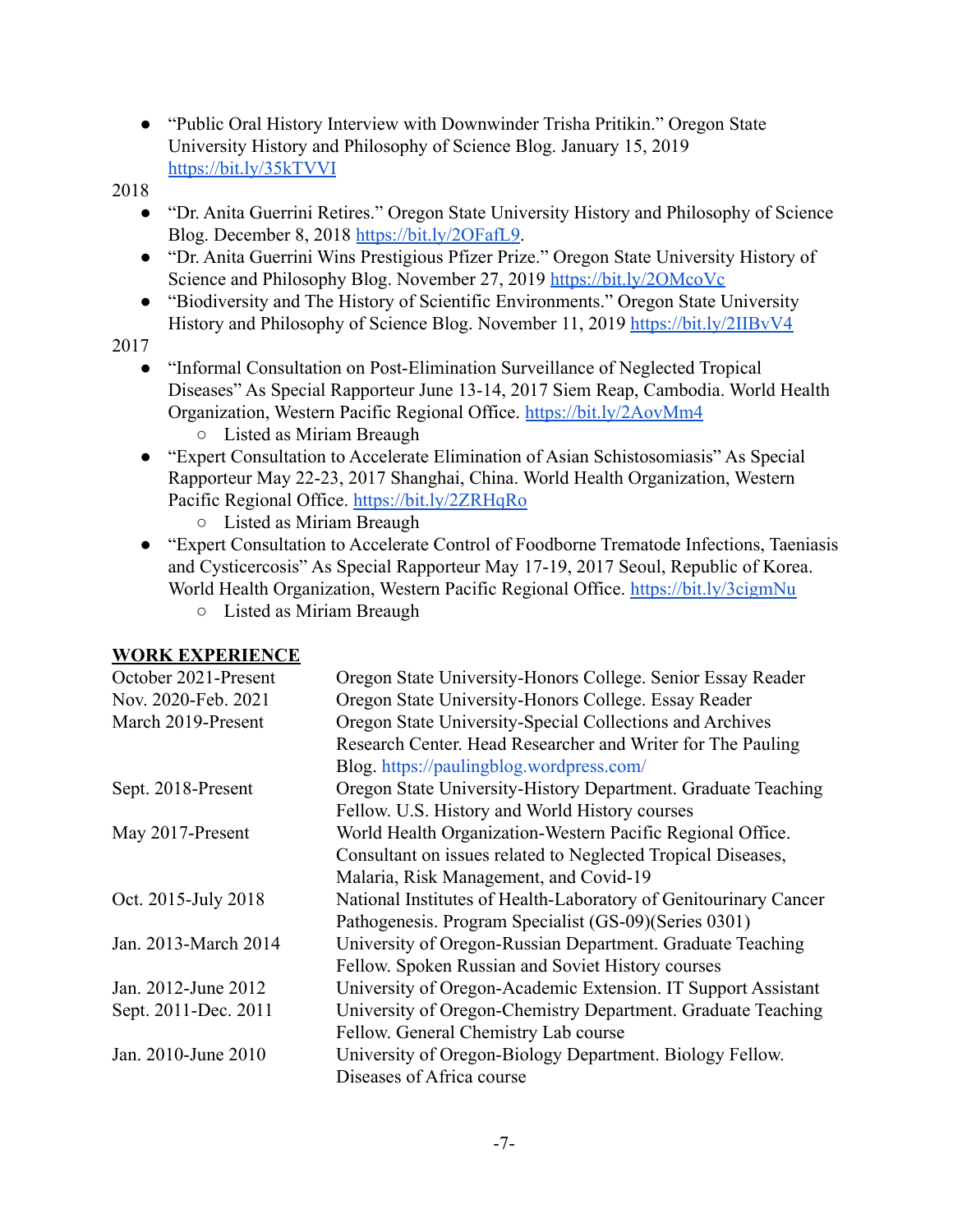- **●** "Public Oral History Interview with Downwinder Trisha Pritikin." Oregon State University History and Philosophy of Science Blog. January 15, 2019 <https://bit.ly/35kTVVI>
- 2018
	- **●** "Dr. Anita Guerrini Retires." Oregon State University History and Philosophy of Science Blog. December 8, 2018 <https://bit.ly/2OFafL9>.
	- **●** "Dr. Anita Guerrini Wins Prestigious Pfizer Prize." Oregon State University History of Science and Philosophy Blog. November 27, 2019 <https://bit.ly/2OMcoVc>
	- **●** "Biodiversity and The History of Scientific Environments." Oregon State University History and Philosophy of Science Blog. November 11, 2019 <https://bit.ly/2IIBvV4>

- "Informal Consultation on Post-Elimination Surveillance of Neglected Tropical Diseases" As Special Rapporteur June 13-14, 2017 Siem Reap, Cambodia. World Health Organization, Western Pacific Regional Office. <https://bit.ly/2AovMm4> ○ Listed as Miriam Breaugh
- "Expert Consultation to Accelerate Elimination of Asian Schistosomiasis" As Special Rapporteur May 22-23, 2017 Shanghai, China. World Health Organization, Western Pacific Regional Office. <https://bit.ly/2ZRHqRo>
	- Listed as Miriam Breaugh
- "Expert Consultation to Accelerate Control of Foodborne Trematode Infections, Taeniasis and Cysticercosis" As Special Rapporteur May 17-19, 2017 Seoul, Republic of Korea. World Health Organization, Western Pacific Regional Office. <https://bit.ly/3cigmNu>
	- Listed as Miriam Breaugh

## **WORK EXPERIENCE**

| October 2021-Present | Oregon State University-Honors College. Senior Essay Reader      |
|----------------------|------------------------------------------------------------------|
| Nov. 2020-Feb. 2021  | Oregon State University-Honors College. Essay Reader             |
| March 2019-Present   | Oregon State University-Special Collections and Archives         |
|                      | Research Center. Head Researcher and Writer for The Pauling      |
|                      | Blog. https://paulingblog.wordpress.com/                         |
| Sept. 2018-Present   | Oregon State University-History Department. Graduate Teaching    |
|                      | Fellow. U.S. History and World History courses                   |
| May 2017-Present     | World Health Organization-Western Pacific Regional Office.       |
|                      | Consultant on issues related to Neglected Tropical Diseases,     |
|                      | Malaria, Risk Management, and Covid-19                           |
| Oct. 2015-July 2018  | National Institutes of Health-Laboratory of Genitourinary Cancer |
|                      | Pathogenesis. Program Specialist (GS-09) (Series 0301)           |
| Jan. 2013-March 2014 | University of Oregon-Russian Department. Graduate Teaching       |
|                      | Fellow. Spoken Russian and Soviet History courses                |
| Jan. 2012-June 2012  | University of Oregon-Academic Extension. IT Support Assistant    |
| Sept. 2011-Dec. 2011 | University of Oregon-Chemistry Department. Graduate Teaching     |
|                      | Fellow. General Chemistry Lab course                             |
| Jan. 2010-June 2010  | University of Oregon-Biology Department. Biology Fellow.         |
|                      | Diseases of Africa course                                        |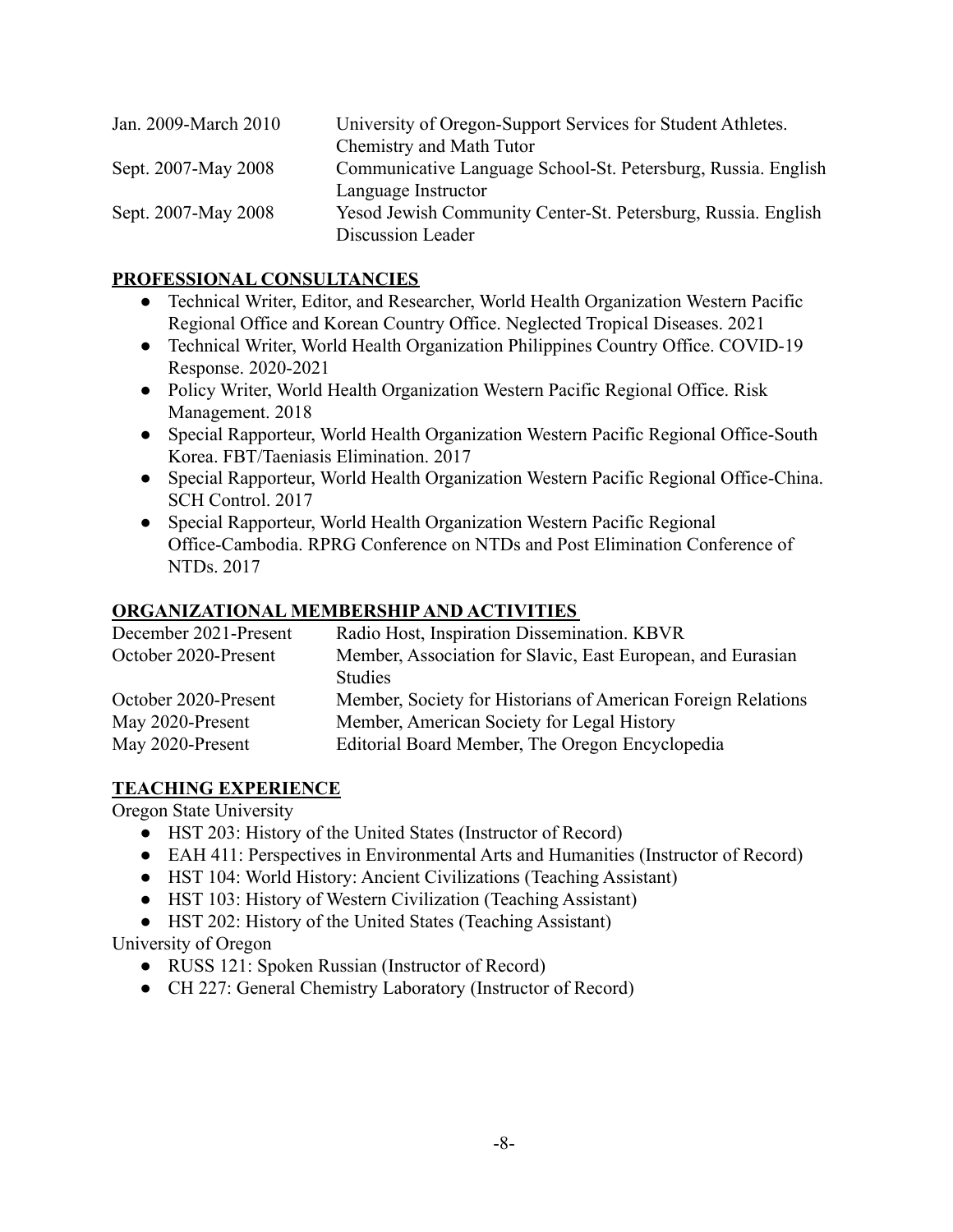| Jan. 2009-March 2010 | University of Oregon-Support Services for Student Athletes.   |
|----------------------|---------------------------------------------------------------|
|                      | Chemistry and Math Tutor                                      |
| Sept. 2007-May 2008  | Communicative Language School-St. Petersburg, Russia. English |
|                      | Language Instructor                                           |
| Sept. 2007-May 2008  | Yesod Jewish Community Center-St. Petersburg, Russia. English |
|                      | Discussion Leader                                             |

#### **PROFESSIONAL CONSULTANCIES**

- Technical Writer, Editor, and Researcher, World Health Organization Western Pacific Regional Office and Korean Country Office. Neglected Tropical Diseases. 2021
- Technical Writer, World Health Organization Philippines Country Office. COVID-19 Response. 2020-2021
- Policy Writer, World Health Organization Western Pacific Regional Office. Risk Management. 2018
- Special Rapporteur, World Health Organization Western Pacific Regional Office-South Korea. FBT/Taeniasis Elimination. 2017
- Special Rapporteur, World Health Organization Western Pacific Regional Office-China. SCH Control. 2017
- Special Rapporteur, World Health Organization Western Pacific Regional Office-Cambodia. RPRG Conference on NTDs and Post Elimination Conference of NTDs. 2017

# **ORGANIZATIONAL MEMBERSHIP AND ACTIVITIES**

| Radio Host, Inspiration Dissemination. KBVR                                   |
|-------------------------------------------------------------------------------|
| Member, Association for Slavic, East European, and Eurasian<br><b>Studies</b> |
|                                                                               |
| Member, Society for Historians of American Foreign Relations                  |
| Member, American Society for Legal History                                    |
| Editorial Board Member, The Oregon Encyclopedia                               |
|                                                                               |

## **TEACHING EXPERIENCE**

Oregon State University

- HST 203: History of the United States (Instructor of Record)
- EAH 411: Perspectives in Environmental Arts and Humanities (Instructor of Record)
- HST 104: World History: Ancient Civilizations (Teaching Assistant)
- HST 103: History of Western Civilization (Teaching Assistant)
- HST 202: History of the United States (Teaching Assistant)

University of Oregon

- RUSS 121: Spoken Russian (Instructor of Record)
- CH 227: General Chemistry Laboratory (Instructor of Record)